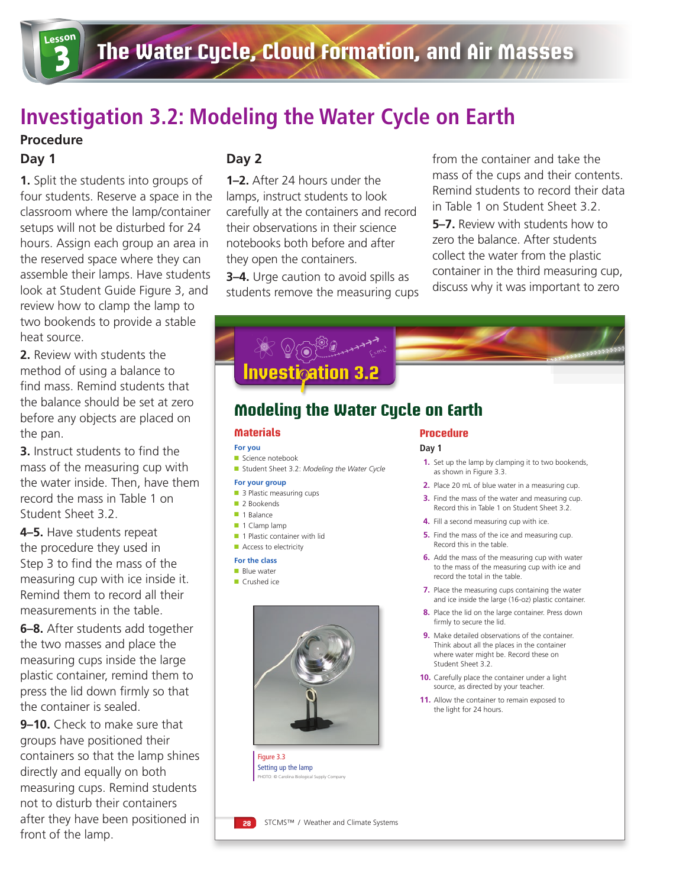## **Investigation 3.2: Modeling the Water Cycle on Earth**

### **Procedure**

#### **Day 1**

**1.** Split the students into groups of four students. Reserve a space in the classroom where the lamp/container setups will not be disturbed for 24 hours. Assign each group an area in the reserved space where they can assemble their lamps. Have students look at Student Guide Figure 3, and review how to clamp the lamp to two bookends to provide a stable heat source.

**2.** Review with students the method of using a balance to find mass. Remind students that the balance should be set at zero before any objects are placed on the pan.

**3.** Instruct students to find the mass of the measuring cup with the water inside. Then, have them record the mass in Table 1 on Student Sheet 3.2.

**4–5.** Have students repeat the procedure they used in Step 3 to find the mass of the measuring cup with ice inside it. Remind them to record all their measurements in the table.

**6–8.** After students add together the two masses and place the measuring cups inside the large plastic container, remind them to press the lid down firmly so that the container is sealed.

**9–10.** Check to make sure that groups have positioned their containers so that the lamp shines directly and equally on both measuring cups. Remind students not to disturb their containers after they have been positioned in front of the lamp.

### **Day 2**

**1–2.** After 24 hours under the lamps, instruct students to look carefully at the containers and record their observations in their science notebooks both before and after they open the containers.

**3–4.** Urge caution to avoid spills as students remove the measuring cups from the container and take the mass of the cups and their contents. Remind students to record their data in Table 1 on Student Sheet 3.2. **5–7.** Review with students how to zero the balance. After students collect the water from the plastic container in the third measuring cup, discuss why it was important to zero



- **5.** Find the mass of the ice and measuring cup. Record this in the table.
- **6.** Add the mass of the measuring cup with water to the mass of the measuring cup with ice and record the total in the table.
- **7.** Place the measuring cups containing the water and ice inside the large (16-oz) plastic container.
- **8.** Place the lid on the large container. Press down firmly to secure the lid.
- **9.** Make detailed observations of the container. Think about all the places in the container where water might be. Record these on Student Sheet 3.2.
- **10.** Carefully place the container under a light source, as directed by your teacher.
- **11.** Allow the container to remain exposed to the light for 24 hours.

Setting up the lamp PHOTO: © Carolina Biological Supply Company

Figure 3.3

■ 1 Plastic container with lid ■ Access to electricity **For the class**  ■ Blue water ■ Crushed ice

**28** STCMS™ / Weather and Climate Systems